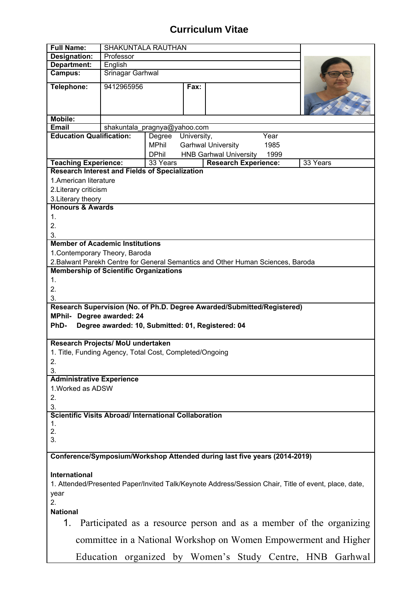## **Curriculum Vitae**

| <b>Full Name:</b>                                                                                    | <b>SHAKUNTALA RAUTHAN</b> |          |                               |                             |      |                                                                     |
|------------------------------------------------------------------------------------------------------|---------------------------|----------|-------------------------------|-----------------------------|------|---------------------------------------------------------------------|
| Designation:                                                                                         | Professor                 |          |                               |                             |      |                                                                     |
| Department:                                                                                          | English                   |          |                               |                             |      |                                                                     |
| Campus:                                                                                              | Srinagar Garhwal          |          |                               |                             |      |                                                                     |
| Telephone:                                                                                           | 9412965956                |          | Fax:                          |                             |      |                                                                     |
|                                                                                                      |                           |          |                               |                             |      |                                                                     |
| <b>Mobile:</b><br>Email                                                                              |                           |          |                               |                             |      |                                                                     |
| shakuntala_pragnya@yahoo.com<br><b>Education Qualification:</b>                                      |                           |          |                               |                             |      |                                                                     |
|                                                                                                      |                           | Degree   | University,                   |                             | Year |                                                                     |
|                                                                                                      |                           | MPhil    |                               | <b>Garhwal University</b>   | 1985 |                                                                     |
|                                                                                                      | <b>DPhil</b>              |          | <b>HNB Garhwal University</b> | 1999                        |      |                                                                     |
| <b>Teaching Experience:</b>                                                                          |                           | 33 Years |                               | <b>Research Experience:</b> |      | 33 Years                                                            |
| <b>Research Interest and Fields of Specialization</b>                                                |                           |          |                               |                             |      |                                                                     |
| 1. American literature                                                                               |                           |          |                               |                             |      |                                                                     |
| 2. Literary criticism                                                                                |                           |          |                               |                             |      |                                                                     |
| 3. Literary theory                                                                                   |                           |          |                               |                             |      |                                                                     |
| <b>Honours &amp; Awards</b>                                                                          |                           |          |                               |                             |      |                                                                     |
| 1.                                                                                                   |                           |          |                               |                             |      |                                                                     |
| 2.                                                                                                   |                           |          |                               |                             |      |                                                                     |
| 3.                                                                                                   |                           |          |                               |                             |      |                                                                     |
| <b>Member of Academic Institutions</b>                                                               |                           |          |                               |                             |      |                                                                     |
|                                                                                                      |                           |          |                               |                             |      |                                                                     |
| 1. Contemporary Theory, Baroda                                                                       |                           |          |                               |                             |      |                                                                     |
| 2. Balwant Parekh Centre for General Semantics and Other Human Sciences, Baroda                      |                           |          |                               |                             |      |                                                                     |
| <b>Membership of Scientific Organizations</b>                                                        |                           |          |                               |                             |      |                                                                     |
| 1.                                                                                                   |                           |          |                               |                             |      |                                                                     |
| 2.                                                                                                   |                           |          |                               |                             |      |                                                                     |
| 3.                                                                                                   |                           |          |                               |                             |      |                                                                     |
| Research Supervision (No. of Ph.D. Degree Awarded/Submitted/Registered)                              |                           |          |                               |                             |      |                                                                     |
| MPhil- Degree awarded: 24                                                                            |                           |          |                               |                             |      |                                                                     |
| PhD-<br>Degree awarded: 10, Submitted: 01, Registered: 04                                            |                           |          |                               |                             |      |                                                                     |
|                                                                                                      |                           |          |                               |                             |      |                                                                     |
| Research Projects/ MoU undertaken                                                                    |                           |          |                               |                             |      |                                                                     |
|                                                                                                      |                           |          |                               |                             |      |                                                                     |
| 1. Title, Funding Agency, Total Cost, Completed/Ongoing                                              |                           |          |                               |                             |      |                                                                     |
| 2.                                                                                                   |                           |          |                               |                             |      |                                                                     |
| 3.                                                                                                   |                           |          |                               |                             |      |                                                                     |
| <b>Administrative Experience</b>                                                                     |                           |          |                               |                             |      |                                                                     |
| 1. Worked as ADSW                                                                                    |                           |          |                               |                             |      |                                                                     |
| 2.                                                                                                   |                           |          |                               |                             |      |                                                                     |
| 3.                                                                                                   |                           |          |                               |                             |      |                                                                     |
| <b>Scientific Visits Abroad/ International Collaboration</b>                                         |                           |          |                               |                             |      |                                                                     |
| 1.                                                                                                   |                           |          |                               |                             |      |                                                                     |
| 2.                                                                                                   |                           |          |                               |                             |      |                                                                     |
| 3.                                                                                                   |                           |          |                               |                             |      |                                                                     |
|                                                                                                      |                           |          |                               |                             |      |                                                                     |
| Conference/Symposium/Workshop Attended during last five years (2014-2019)                            |                           |          |                               |                             |      |                                                                     |
|                                                                                                      |                           |          |                               |                             |      |                                                                     |
| <b>International</b>                                                                                 |                           |          |                               |                             |      |                                                                     |
| 1. Attended/Presented Paper/Invited Talk/Keynote Address/Session Chair, Title of event, place, date, |                           |          |                               |                             |      |                                                                     |
|                                                                                                      |                           |          |                               |                             |      |                                                                     |
| year                                                                                                 |                           |          |                               |                             |      |                                                                     |
| 2.                                                                                                   |                           |          |                               |                             |      |                                                                     |
| <b>National</b>                                                                                      |                           |          |                               |                             |      |                                                                     |
| 1.                                                                                                   |                           |          |                               |                             |      | Participated as a resource person and as a member of the organizing |
|                                                                                                      |                           |          |                               |                             |      |                                                                     |
| committee in a National Workshop on Women Empowerment and Higher                                     |                           |          |                               |                             |      |                                                                     |
| Education organized by Women's Study Centre, HNB<br>Garhwal                                          |                           |          |                               |                             |      |                                                                     |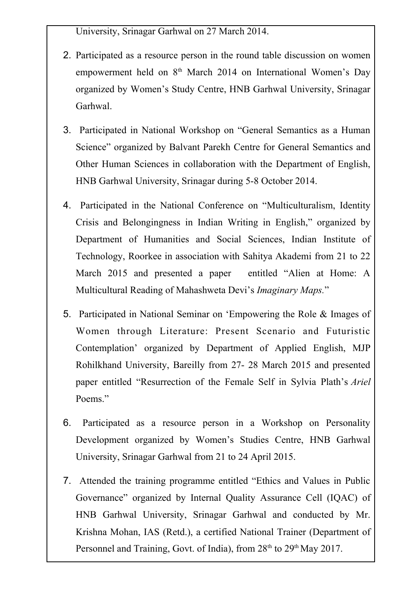University, Srinagar Garhwal on 27 March 2014.

- 2. Participated as a resource person in the round table discussion on women empowerment held on 8<sup>th</sup> March 2014 on International Women's Day organized by Women's Study Centre, HNB Garhwal University, Srinagar Garhwal.
- 3. Participated in National Workshop on "General Semantics as a Human Science" organized by Balvant Parekh Centre for General Semantics and Other Human Sciences in collaboration with the Department of English, HNB Garhwal University, Srinagar during 5-8 October 2014.
- 4. Participated in the National Conference on "Multiculturalism, Identity Crisis and Belongingness in Indian Writing in English," organized by Department of Humanities and Social Sciences, Indian Institute of Technology, Roorkee in association with Sahitya Akademi from 21 to 22 March 2015 and presented a paper entitled "Alien at Home: A Multicultural Reading of Mahashweta Devi's *Imaginary Maps.*"
- 5. Participated in National Seminar on 'Empowering the Role & Images of Women through Literature: Present Scenario and Futuristic Contemplation' organized by Department of Applied English, MJP Rohilkhand University, Bareilly from 27- 28 March 2015 and presented paper entitled "Resurrection of the Female Self in Sylvia Plath's *Ariel* Poems."
- 6. Participated as a resource person in a Workshop on Personality Development organized by Women's Studies Centre, HNB Garhwal University, Srinagar Garhwal from 21 to 24 April 2015.
- 7. Attended the training programme entitled "Ethics and Values in Public Governance" organized by Internal Quality Assurance Cell (IQAC) of HNB Garhwal University, Srinagar Garhwal and conducted by Mr. Krishna Mohan, IAS (Retd.), a certified National Trainer (Department of Personnel and Training, Govt. of India), from  $28<sup>th</sup>$  to  $29<sup>th</sup>$  May 2017.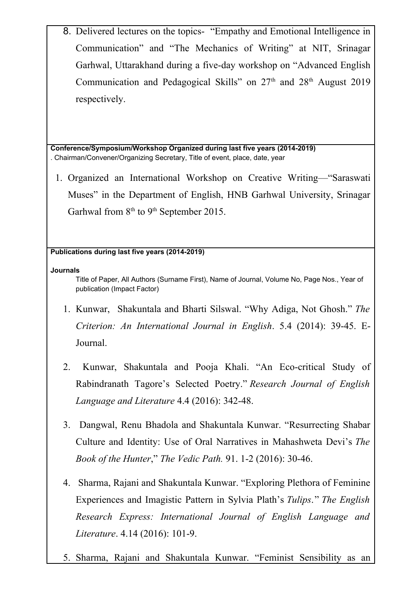8. Delivered lectures on the topics- "Empathy and Emotional Intelligence in Communication" and "The Mechanics of Writing" at NIT, Srinagar Garhwal, Uttarakhand during a five-day workshop on "Advanced English Communication and Pedagogical Skills" on  $27<sup>th</sup>$  and  $28<sup>th</sup>$  August 2019 respectively.

**Conference/Symposium/Workshop Organized during last five years (2014-2019)** . Chairman/Convener/Organizing Secretary, Title of event, place, date, year

1. Organized an International Workshop on Creative Writing—"Saraswati Muses" in the Department of English, HNB Garhwal University, Srinagar Garhwal from  $8<sup>th</sup>$  to  $9<sup>th</sup>$  September 2015.

## **Publications during last five years (2014-2019)**

**Journals**

Title of Paper, All Authors (Surname First), Name of Journal, Volume No, Page Nos., Year of publication (Impact Factor)

- 1. Kunwar, Shakuntala and Bharti Silswal. "Why Adiga, Not Ghosh." *The Criterion: An International Journal in English*. 5.4 (2014): 39-45. E-Journal.
- 2. Kunwar, Shakuntala and Pooja Khali. "An Eco-critical Study of Rabindranath Tagore's Selected Poetry." *Research Journal of English Language and Literature* 4.4 (2016): 342-48.
- 3. Dangwal, Renu Bhadola and Shakuntala Kunwar. "Resurrecting Shabar Culture and Identity: Use of Oral Narratives in Mahashweta Devi's *The Book of the Hunter*," *The Vedic Path.* 91. 1-2 (2016): 30-46.
- 4. Sharma, Rajani and Shakuntala Kunwar. "Exploring Plethora of Feminine Experiences and Imagistic Pattern in Sylvia Plath's *Tulips*." *The English Research Express: International Journal of English Language and Literature*. 4.14 (2016): 101-9.
- 5. Sharma, Rajani and Shakuntala Kunwar. "Feminist Sensibility as an